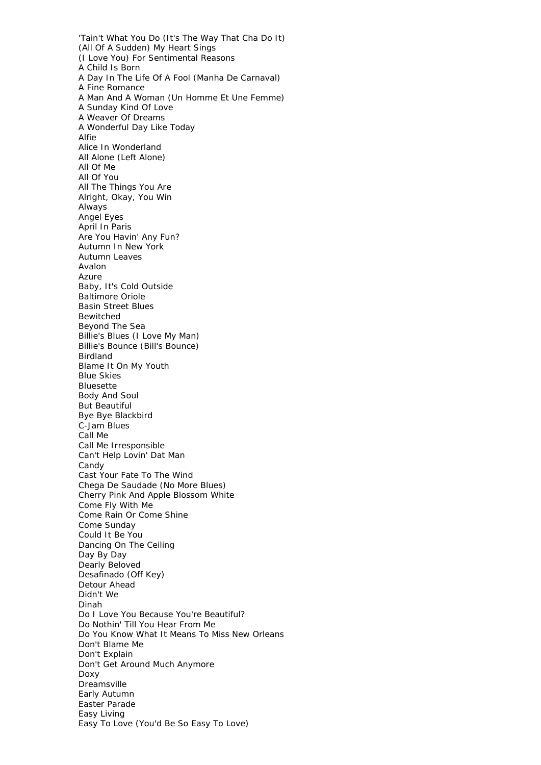'Tain't What You Do (It's The Way That Cha Do It) (All Of A Sudden) My Heart Sings (I Love You) For Sentimental Reasons A Child Is Born A Day In The Life Of A Fool (Manha De Carnaval) A Fine Romance A Man And A Woman (Un Homme Et Une Femme) A Sunday Kind Of Love A Weaver Of Dreams A Wonderful Day Like Today Alfie Alice In Wonderland All Alone (Left Alone) All Of Me All Of You All The Things You Are Alright, Okay, You Win Always Angel Eyes April In Paris Are You Havin' Any Fun? Autumn In New York Autumn Leaves Avalon Azure Baby, It's Cold Outside Baltimore Oriole Basin Street Blues Bewitched Beyond The Sea Billie's Blues (I Love My Man) Billie's Bounce (Bill's Bounce) Birdland Blame It On My Youth Blue Skies Bluesette Body And Soul But Beautiful Bye Bye Blackbird C-Jam Blues Call Me Call Me Irresponsible Can't Help Lovin' Dat Man Candy Cast Your Fate To The Wind Chega De Saudade (No More Blues) Cherry Pink And Apple Blossom White Come Fly With Me Come Rain Or Come Shine Come Sunday Could It Be You Dancing On The Ceiling Day By Day Dearly Beloved Desafinado (Off Key) Detour Ahead Didn't We Dinah Do I Love You Because You're Beautiful? Do Nothin' Till You Hear From Me Do You Know What It Means To Miss New Orleans Don't Blame Me Don't Explain Don't Get Around Much Anymore Doxy Dreamsville Early Autumn Easter Parade Easy Living Easy To Love (You'd Be So Easy To Love)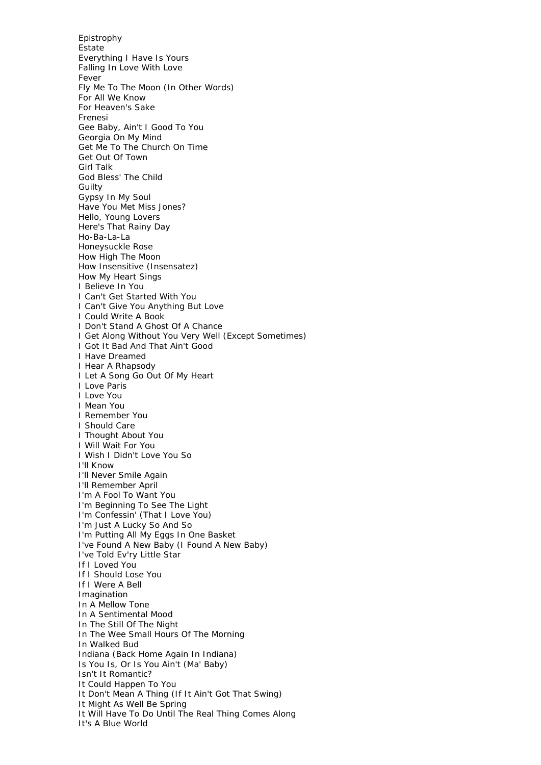Epistrophy Estate Everything I Have Is Yours Falling In Love With Love Fever Fly Me To The Moon (In Other Words) For All We Know For Heaven's Sake Frenesi Gee Baby, Ain't I Good To You Georgia On My Mind Get Me To The Church On Time Get Out Of Town Girl Talk God Bless' The Child Guilty Gypsy In My Soul Have You Met Miss Jones? Hello, Young Lovers Here's That Rainy Day Ho-Ba-La-La Honeysuckle Rose How High The Moon How Insensitive (Insensatez) How My Heart Sings I Believe In You I Can't Get Started With You I Can't Give You Anything But Love I Could Write A Book I Don't Stand A Ghost Of A Chance I Get Along Without You Very Well (Except Sometimes) I Got It Bad And That Ain't Good I Have Dreamed I Hear A Rhapsody I Let A Song Go Out Of My Heart I Love Paris I Love You I Mean You I Remember You I Should Care I Thought About You I Will Wait For You I Wish I Didn't Love You So I'll Know I'll Never Smile Again I'll Remember April I'm A Fool To Want You I'm Beginning To See The Light I'm Confessin' (That I Love You) I'm Just A Lucky So And So I'm Putting All My Eggs In One Basket I've Found A New Baby (I Found A New Baby) I've Told Ev'ry Little Star If I Loved You If I Should Lose You If I Were A Bell Imagination In A Mellow Tone In A Sentimental Mood In The Still Of The Night In The Wee Small Hours Of The Morning In Walked Bud Indiana (Back Home Again In Indiana) Is You Is, Or Is You Ain't (Ma' Baby) Isn't It Romantic? It Could Happen To You It Don't Mean A Thing (If It Ain't Got That Swing) It Might As Well Be Spring It Will Have To Do Until The Real Thing Comes Along It's A Blue World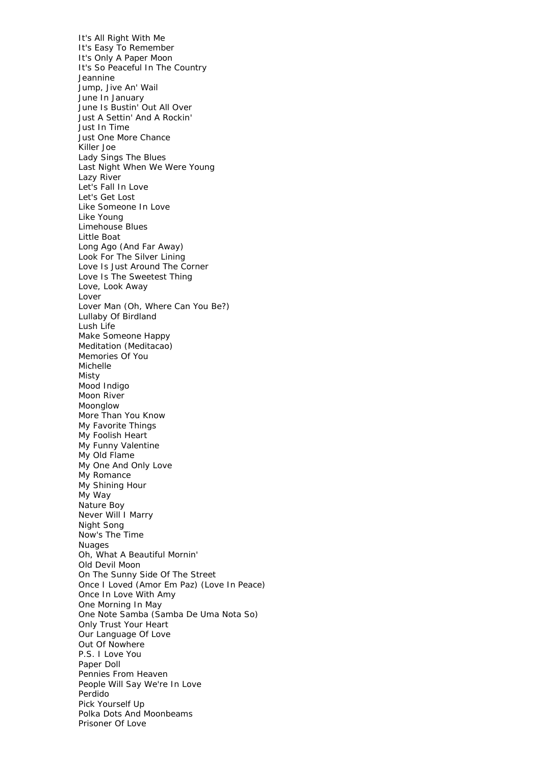It's All Right With Me It's Easy To Remember It's Only A Paper Moon It's So Peaceful In The Country Jeannine Jump, Jive An' Wail June In January June Is Bustin' Out All Over Just A Settin' And A Rockin' Just In Time Just One More Chance Killer Joe Lady Sings The Blues Last Night When We Were Young Lazy River Let's Fall In Love Let's Get Lost Like Someone In Love Like Young Limehouse Blues Little Boat Long Ago (And Far Away) Look For The Silver Lining Love Is Just Around The Corner Love Is The Sweetest Thing Love, Look Away Lover Lover Man (Oh, Where Can You Be?) Lullaby Of Birdland Lush Life Make Someone Happy Meditation (Meditacao) Memories Of You Michelle Misty Mood Indigo Moon River Moonglow More Than You Know My Favorite Things My Foolish Heart My Funny Valentine My Old Flame My One And Only Love My Romance My Shining Hour My Way Nature Boy Never Will I Marry Night Song Now's The Time Nuages Oh, What A Beautiful Mornin' Old Devil Moon On The Sunny Side Of The Street Once I Loved (Amor Em Paz) (Love In Peace) Once In Love With Amy One Morning In May One Note Samba (Samba De Uma Nota So) Only Trust Your Heart Our Language Of Love Out Of Nowhere P.S. I Love You Paper Doll Pennies From Heaven People Will Say We're In Love Perdido Pick Yourself Up Polka Dots And Moonbeams Prisoner Of Love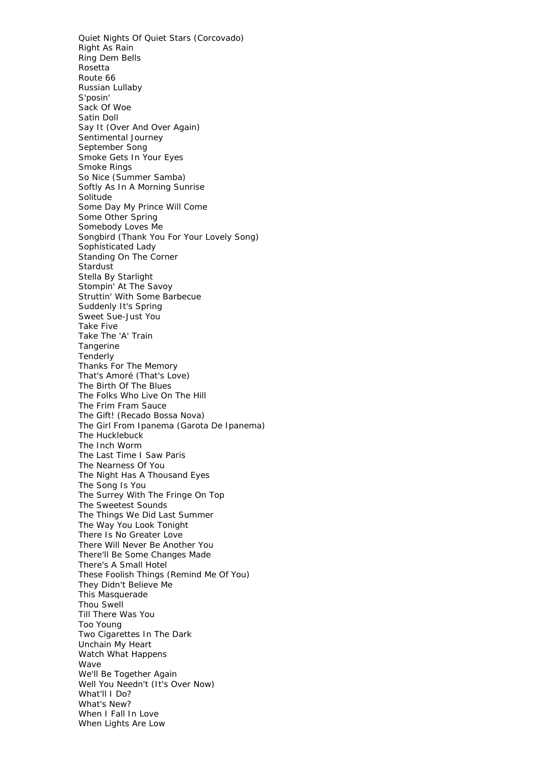Quiet Nights Of Quiet Stars (Corcovado) Right As Rain Ring Dem Bells Rosetta Route 66 Russian Lullaby S'posin' Sack Of Woe Satin Doll Say It (Over And Over Again) Sentimental Journey September Song Smoke Gets In Your Eyes Smoke Rings So Nice (Summer Samba) Softly As In A Morning Sunrise **Solitude** Some Day My Prince Will Come Some Other Spring Somebody Loves Me Songbird (Thank You For Your Lovely Song) Sophisticated Lady Standing On The Corner Stardust Stella By Starlight Stompin' At The Savoy Struttin' With Some Barbecue Suddenly It's Spring Sweet Sue-Just You Take Five Take The 'A' Train Tangerine Tenderly Thanks For The Memory That's Amoré (That's Love) The Birth Of The Blues The Folks Who Live On The Hill The Frim Fram Sauce The Gift! (Recado Bossa Nova) The Girl From Ipanema (Garota De Ipanema) The Hucklebuck The Inch Worm The Last Time I Saw Paris The Nearness Of You The Night Has A Thousand Eyes The Song Is You The Surrey With The Fringe On Top The Sweetest Sounds The Things We Did Last Summer The Way You Look Tonight There Is No Greater Love There Will Never Be Another You There'll Be Some Changes Made There's A Small Hotel These Foolish Things (Remind Me Of You) They Didn't Believe Me This Masquerade Thou Swell Till There Was You Too Young Two Cigarettes In The Dark Unchain My Heart Watch What Happens Wave We'll Be Together Again Well You Needn't (It's Over Now) What'll I Do? What's New? When I Fall In Love When Lights Are Low